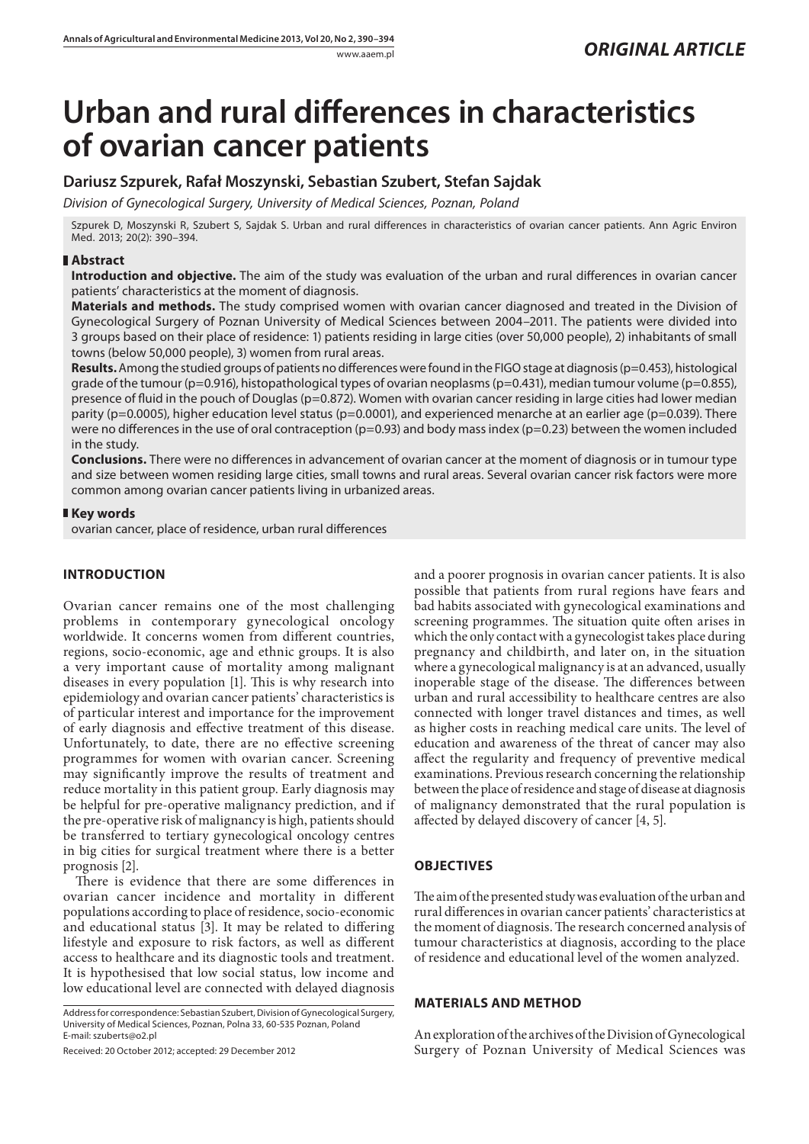# **Urban and rural differences in characteristics of ovarian cancer patients**

**Dariusz Szpurek, Rafał Moszynski, Sebastian Szubert, Stefan Sajdak**

*Division of Gynecological Surgery, University of Medical Sciences, Poznan, Poland*

Szpurek D, Moszynski R, Szubert S, Sajdak S. Urban and rural differences in characteristics of ovarian cancer patients. Ann Agric Environ Med. 2013; 20(2): 390–394.

## **Abstract**

**Introduction and objective.** The aim of the study was evaluation of the urban and rural differences in ovarian cancer patients' characteristics at the moment of diagnosis.

**Materials and methods.** The study comprised women with ovarian cancer diagnosed and treated in the Division of Gynecological Surgery of Poznan University of Medical Sciences between 2004–2011. The patients were divided into 3 groups based on their place of residence: 1) patients residing in large cities (over 50,000 people), 2) inhabitants of small towns (below 50,000 people), 3) women from rural areas.

**Results.** Among the studied groups of patients no differences were found in the FIGO stage at diagnosis (p=0.453), histological grade of the tumour (p=0.916), histopathological types of ovarian neoplasms (p=0.431), median tumour volume (p=0.855), presence of fluid in the pouch of Douglas (p=0.872). Women with ovarian cancer residing in large cities had lower median parity (p=0.0005), higher education level status (p=0.0001), and experienced menarche at an earlier age (p=0.039). There were no differences in the use of oral contraception (p=0.93) and body mass index (p=0.23) between the women included in the study.

**Conclusions.** There were no differences in advancement of ovarian cancer at the moment of diagnosis or in tumour type and size between women residing large cities, small towns and rural areas. Several ovarian cancer risk factors were more common among ovarian cancer patients living in urbanized areas.

## **Key words**

ovarian cancer, place of residence, urban rural differences

# **INTRODUCTION**

Ovarian cancer remains one of the most challenging problems in contemporary gynecological oncology worldwide. It concerns women from different countries, regions, socio-economic, age and ethnic groups. It is also a very important cause of mortality among malignant diseases in every population [1]. This is why research into epidemiology and ovarian cancer patients' characteristics is of particular interest and importance for the improvement of early diagnosis and effective treatment of this disease. Unfortunately, to date, there are no effective screening programmes for women with ovarian cancer. Screening may significantly improve the results of treatment and reduce mortality in this patient group. Early diagnosis may be helpful for pre-operative malignancy prediction, and if the pre-operative risk of malignancy is high, patients should be transferred to tertiary gynecological oncology centres in big cities for surgical treatment where there is a better prognosis [2].

There is evidence that there are some differences in ovarian cancer incidence and mortality in different populations according to place of residence, socio-economic and educational status [3]. It may be related to differing lifestyle and exposure to risk factors, as well as different access to healthcare and its diagnostic tools and treatment. It is hypothesised that low social status, low income and low educational level are connected with delayed diagnosis

Address for correspondence: Sebastian Szubert, Division of Gynecological Surgery, University of Medical Sciences, Poznan, Polna 33, 60-535 Poznan, Poland E-mail: szuberts@o2.pl

Received: 20 October 2012; accepted: 29 December 2012

and a poorer prognosis in ovarian cancer patients. It is also possible that patients from rural regions have fears and bad habits associated with gynecological examinations and screening programmes. The situation quite often arises in which the only contact with a gynecologist takes place during pregnancy and childbirth, and later on, in the situation where a gynecological malignancy is at an advanced, usually inoperable stage of the disease. The differences between urban and rural accessibility to healthcare centres are also connected with longer travel distances and times, as well as higher costs in reaching medical care units. The level of education and awareness of the threat of cancer may also affect the regularity and frequency of preventive medical examinations. Previous research concerning the relationship between the place of residence and stage of disease at diagnosis of malignancy demonstrated that the rural population is affected by delayed discovery of cancer [4, 5].

# **OBJECTIVES**

The aim of the presented study was evaluation of the urban and rural differences in ovarian cancer patients' characteristics at the moment of diagnosis. The research concerned analysis of tumour characteristics at diagnosis, according to the place of residence and educational level of the women analyzed.

#### **MATERIALS AND METHOD**

An exploration of the archives of the Division of Gynecological Surgery of Poznan University of Medical Sciences was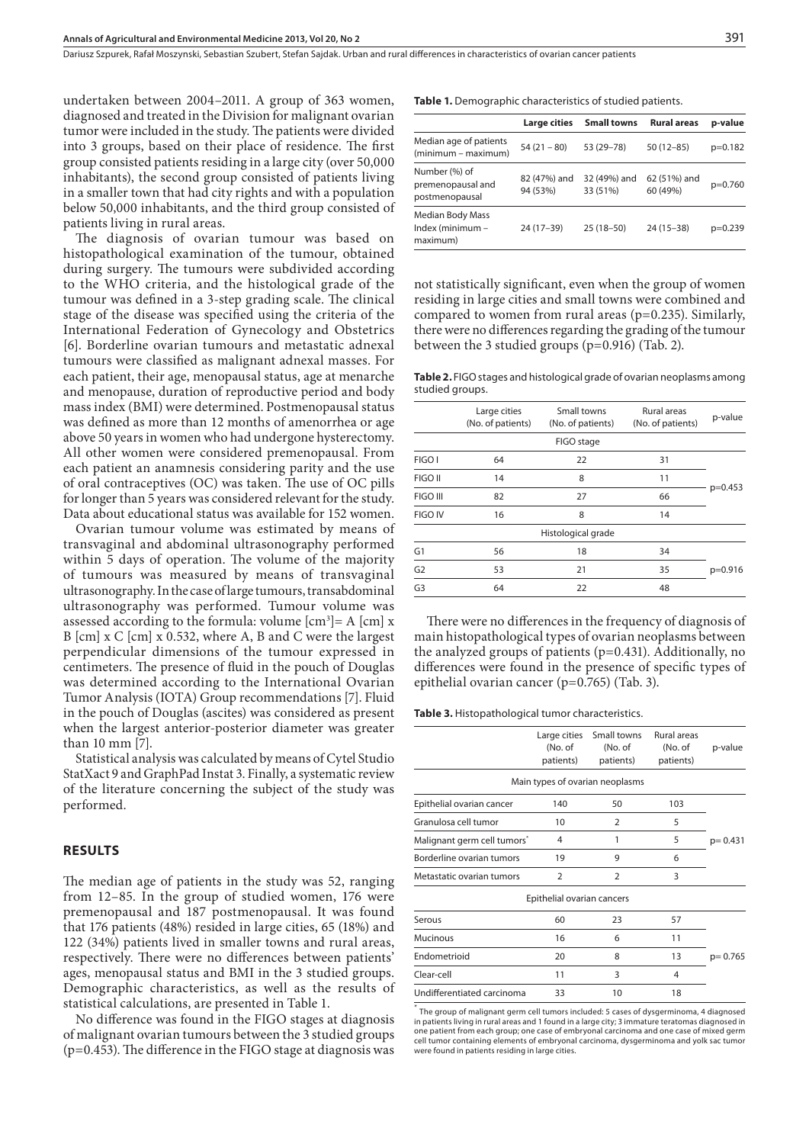undertaken between 2004–2011. A group of 363 women, diagnosed and treated in the Division for malignant ovarian tumor were included in the study. The patients were divided into 3 groups, based on their place of residence. The first group consisted patients residing in a large city (over 50,000 inhabitants), the second group consisted of patients living in a smaller town that had city rights and with a population below 50,000 inhabitants, and the third group consisted of patients living in rural areas.

The diagnosis of ovarian tumour was based on histopathological examination of the tumour, obtained during surgery. The tumours were subdivided according to the WHO criteria, and the histological grade of the tumour was defined in a 3-step grading scale. The clinical stage of the disease was specified using the criteria of the International Federation of Gynecology and Obstetrics [6]. Borderline ovarian tumours and metastatic adnexal tumours were classified as malignant adnexal masses. For each patient, their age, menopausal status, age at menarche and menopause, duration of reproductive period and body mass index (BMI) were determined. Postmenopausal status was defined as more than 12 months of amenorrhea or age above 50 years in women who had undergone hysterectomy. All other women were considered premenopausal. From each patient an anamnesis considering parity and the use of oral contraceptives (OC) was taken. The use of OC pills for longer than 5 years was considered relevant for the study. Data about educational status was available for 152 women.

Ovarian tumour volume was estimated by means of transvaginal and abdominal ultrasonography performed within 5 days of operation. The volume of the majority of tumours was measured by means of transvaginal ultrasonography. In the case of large tumours, transabdominal ultrasonography was performed. Tumour volume was assessed according to the formula: volume  $[cm^3] = A$   $[cm] x$ B [cm] x C [cm] x 0.532, where A, B and C were the largest perpendicular dimensions of the tumour expressed in centimeters. The presence of fluid in the pouch of Douglas was determined according to the International Ovarian Tumor Analysis (IOTA) Group recommendations [7]. Fluid in the pouch of Douglas (ascites) was considered as present when the largest anterior-posterior diameter was greater than 10 mm [7].

Statistical analysis was calculated by means of Cytel Studio StatXact 9 and GraphPad Instat 3. Finally, a systematic review of the literature concerning the subject of the study was performed.

### **RESULTS**

The median age of patients in the study was 52, ranging from 12–85. In the group of studied women, 176 were premenopausal and 187 postmenopausal. It was found that 176 patients (48%) resided in large cities, 65 (18%) and 122 (34%) patients lived in smaller towns and rural areas, respectively. There were no differences between patients' ages, menopausal status and BMI in the 3 studied groups. Demographic characteristics, as well as the results of statistical calculations, are presented in Table 1.

No difference was found in the FIGO stages at diagnosis of malignant ovarian tumours between the 3 studied groups (p=0.453). The difference in the FIGO stage at diagnosis was **Table 1.** Demographic characteristics of studied patients.

|                                                      | Large cities             | <b>Small towns</b>       | <b>Rural areas</b>       | p-value   |
|------------------------------------------------------|--------------------------|--------------------------|--------------------------|-----------|
| Median age of patients<br>(minimum – maximum)        | $54(21 - 80)$            | 53 (29 - 78)             | $50(12 - 85)$            | $p=0.182$ |
| Number (%) of<br>premenopausal and<br>postmenopausal | 82 (47%) and<br>94 (53%) | 32 (49%) and<br>33 (51%) | 62 (51%) and<br>60 (49%) | $p=0.760$ |
| Median Body Mass<br>Index (minimum -<br>maximum)     | 24 (17-39)               | $25(18-50)$              | $24(15-38)$              | $p=0.239$ |

not statistically significant, even when the group of women residing in large cities and small towns were combined and compared to women from rural areas ( $p=0.235$ ). Similarly, there were no differences regarding the grading of the tumour between the 3 studied groups (p=0.916) (Tab. 2).

**Table 2.** FIGO stages and histological grade of ovarian neoplasms among studied groups.

|                | Large cities<br>(No. of patients) | Small towns<br>(No. of patients) | Rural areas<br>(No. of patients) | p-value   |  |
|----------------|-----------------------------------|----------------------------------|----------------------------------|-----------|--|
|                |                                   | FIGO stage                       |                                  |           |  |
| FIGO I         | 64                                | 22                               | 31                               |           |  |
| FIGO II        | 14                                | 8                                | 11                               |           |  |
| FIGO III       | 82                                | 27                               | 66                               | $p=0.453$ |  |
| <b>FIGO IV</b> | 16                                | 8                                | 14                               |           |  |
|                |                                   | Histological grade               |                                  |           |  |
| G <sub>1</sub> | 56                                | 18                               | 34                               |           |  |
| G <sub>2</sub> | 53                                | 21                               | 35                               | $p=0.916$ |  |
| G <sub>3</sub> | 64                                | 22                               | 48                               |           |  |
|                |                                   |                                  |                                  |           |  |

There were no differences in the frequency of diagnosis of main histopathological types of ovarian neoplasms between the analyzed groups of patients (p=0.431). Additionally, no differences were found in the presence of specific types of epithelial ovarian cancer (p=0.765) (Tab. 3).

**Table 3.** Histopathological tumor characteristics.

|                                 | (No. of<br>patients)       | Large cities Small towns<br>(No. of<br>patients) | Rural areas<br>(No. of<br>patients) | p-value     |
|---------------------------------|----------------------------|--------------------------------------------------|-------------------------------------|-------------|
|                                 |                            | Main types of ovarian neoplasms                  |                                     |             |
| Epithelial ovarian cancer       | 140                        | 50                                               | 103                                 |             |
| Granulosa cell tumor            | 10                         | 2                                                | 5                                   |             |
| Malignant germ cell tumors*     | 4                          | 1                                                | 5                                   | $p = 0.431$ |
| Borderline ovarian tumors       | 19                         | 9                                                | 6                                   |             |
| Metastatic ovarian tumors       | $\overline{2}$             | $\overline{2}$                                   | 3                                   |             |
|                                 | Epithelial ovarian cancers |                                                  |                                     |             |
| Serous                          | 60                         | 23                                               | 57                                  |             |
| Mucinous                        | 16                         | 6                                                | 11                                  |             |
| Endometrioid                    | 20                         | 8                                                | 13                                  | $p = 0.765$ |
| Clear-cell                      | 11                         | 3                                                | 4                                   |             |
| Undifferentiated carcinoma<br>× | 33                         | 10                                               | 18                                  |             |

\* The group of malignant germ cell tumors included: 5 cases of dysgerminoma, 4 diagnosed in patients living in rural areas and 1 found in a large city; 3 immature teratomas diagnosed in one patient from each group; one case of embryonal carcinoma and one case of mixed germ cell tumor containing elements of embryonal carcinoma, dysgerminoma and yolk sac tumor were found in patients residing in large cities.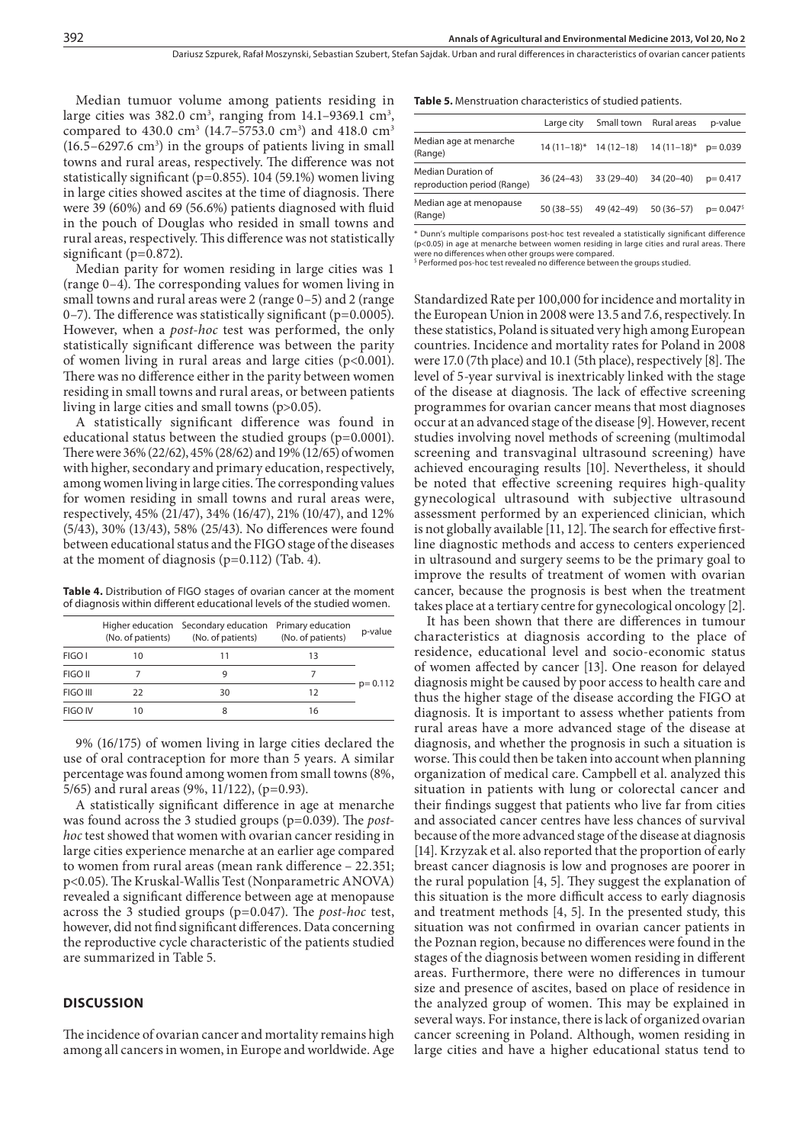Median tumuor volume among patients residing in large cities was 382.0 cm<sup>3</sup>, ranging from  $14.1-9369.1$  cm<sup>3</sup>, compared to  $430.0 \text{ cm}^3 \ (14.7 - 5753.0 \text{ cm}^3)$  and  $418.0 \text{ cm}^3$  $(16.5 - 6297.6 \text{ cm}^3)$  in the groups of patients living in small towns and rural areas, respectively. The difference was not statistically significant (p=0.855). 104 (59.1%) women living in large cities showed ascites at the time of diagnosis. There were 39 (60%) and 69 (56.6%) patients diagnosed with fluid in the pouch of Douglas who resided in small towns and rural areas, respectively. This difference was not statistically significant ( $p=0.872$ ).

Median parity for women residing in large cities was 1 (range 0–4). The corresponding values for women living in small towns and rural areas were 2 (range 0–5) and 2 (range  $(0-7)$ . The difference was statistically significant ( $p=0.0005$ ). However, when a *post-hoc* test was performed, the only statistically significant difference was between the parity of women living in rural areas and large cities (p<0.001). There was no difference either in the parity between women residing in small towns and rural areas, or between patients living in large cities and small towns (p>0.05).

A statistically significant difference was found in educational status between the studied groups (p=0.0001). There were 36% (22/62), 45% (28/62) and 19% (12/65) of women with higher, secondary and primary education, respectively, among women living in large cities. The corresponding values for women residing in small towns and rural areas were, respectively, 45% (21/47), 34% (16/47), 21% (10/47), and 12% (5/43), 30% (13/43), 58% (25/43). No differences were found between educational status and the FIGO stage of the diseases at the moment of diagnosis (p=0.112) (Tab. 4).

Table 4. Distribution of FIGO stages of ovarian cancer at the moment of diagnosis within different educational levels of the studied women.

|                |    | Higher education Secondary education Primary education<br>(No. of patients) (No. of patients) (No. of patients) |    | p-value     |  |
|----------------|----|-----------------------------------------------------------------------------------------------------------------|----|-------------|--|
| FIGO I         | 10 | 11                                                                                                              | 13 |             |  |
| FIGO II        |    | g                                                                                                               |    |             |  |
| FIGO III       | つつ | 30                                                                                                              | 12 | $p = 0.112$ |  |
| <b>FIGO IV</b> |    | 8                                                                                                               | 16 |             |  |

9% (16/175) of women living in large cities declared the use of oral contraception for more than 5 years. A similar percentage was found among women from small towns (8%, 5/65) and rural areas (9%, 11/122), (p=0.93).

A statistically significant difference in age at menarche was found across the 3 studied groups (p=0.039). The *posthoc* test showed that women with ovarian cancer residing in large cities experience menarche at an earlier age compared to women from rural areas (mean rank difference – 22.351; p<0.05). The Kruskal-Wallis Test (Nonparametric ANOVA) revealed a significant difference between age at menopause across the 3 studied groups (p=0.047). The *post-hoc* test, however, did not find significant differences. Data concerning the reproductive cycle characteristic of the patients studied are summarized in Table 5.

#### **DISCUSSION**

The incidence of ovarian cancer and mortality remains high among all cancers in women, in Europe and worldwide. Age **Table 5.** Menstruation characteristics of studied patients.

|                                                   | Large city    |            | Small town Rural areas                          | p-value                   |
|---------------------------------------------------|---------------|------------|-------------------------------------------------|---------------------------|
| Median age at menarche<br>(Range)                 |               |            | $14(11-18)^{*}$ 14 (12-18) 14 (11-18)* p= 0.039 |                           |
| Median Duration of<br>reproduction period (Range) | 36 (24–43)    | 33 (29–40) | $34(20-40)$                                     | $p = 0.417$               |
| Median age at menopause<br>(Range)                | $50(38 - 55)$ | 49 (42-49) | $50(36-57)$                                     | $p = 0.047$ <sup>\$</sup> |
|                                                   |               |            |                                                 |                           |

\* Dunn's multiple comparisons post-hoc test revealed a statistically significant difference (p<0.05) in age at menarche between women residing in large cities and rural areas. There were no differences when other groups were compared.<br><sup>\$</sup> Performed pos-hoc test revealed no difference between the groups studied.

Standardized Rate per 100,000 for incidence and mortality in the European Union in 2008 were 13.5 and 7.6, respectively. In these statistics, Poland is situated very high among European countries. Incidence and mortality rates for Poland in 2008 were 17.0 (7th place) and 10.1 (5th place), respectively [8]. The level of 5-year survival is inextricably linked with the stage of the disease at diagnosis. The lack of effective screening programmes for ovarian cancer means that most diagnoses occur at an advanced stage of the disease [9]. However, recent studies involving novel methods of screening (multimodal screening and transvaginal ultrasound screening) have achieved encouraging results [10]. Nevertheless, it should be noted that effective screening requires high-quality gynecological ultrasound with subjective ultrasound assessment performed by an experienced clinician, which is not globally available [11, 12]. The search for effective firstline diagnostic methods and access to centers experienced in ultrasound and surgery seems to be the primary goal to improve the results of treatment of women with ovarian cancer, because the prognosis is best when the treatment takes place at a tertiary centre for gynecological oncology [2].

It has been shown that there are differences in tumour characteristics at diagnosis according to the place of residence, educational level and socio-economic status of women affected by cancer [13]. One reason for delayed diagnosis might be caused by poor access to health care and thus the higher stage of the disease according the FIGO at diagnosis. It is important to assess whether patients from rural areas have a more advanced stage of the disease at diagnosis, and whether the prognosis in such a situation is worse. This could then be taken into account when planning organization of medical care. Campbell et al. analyzed this situation in patients with lung or colorectal cancer and their findings suggest that patients who live far from cities and associated cancer centres have less chances of survival because of the more advanced stage of the disease at diagnosis [14]. Krzyzak et al. also reported that the proportion of early breast cancer diagnosis is low and prognoses are poorer in the rural population [4, 5]. They suggest the explanation of this situation is the more difficult access to early diagnosis and treatment methods [4, 5]. In the presented study, this situation was not confirmed in ovarian cancer patients in the Poznan region, because no differences were found in the stages of the diagnosis between women residing in different areas. Furthermore, there were no differences in tumour size and presence of ascites, based on place of residence in the analyzed group of women. This may be explained in several ways. For instance, there is lack of organized ovarian cancer screening in Poland. Although, women residing in large cities and have a higher educational status tend to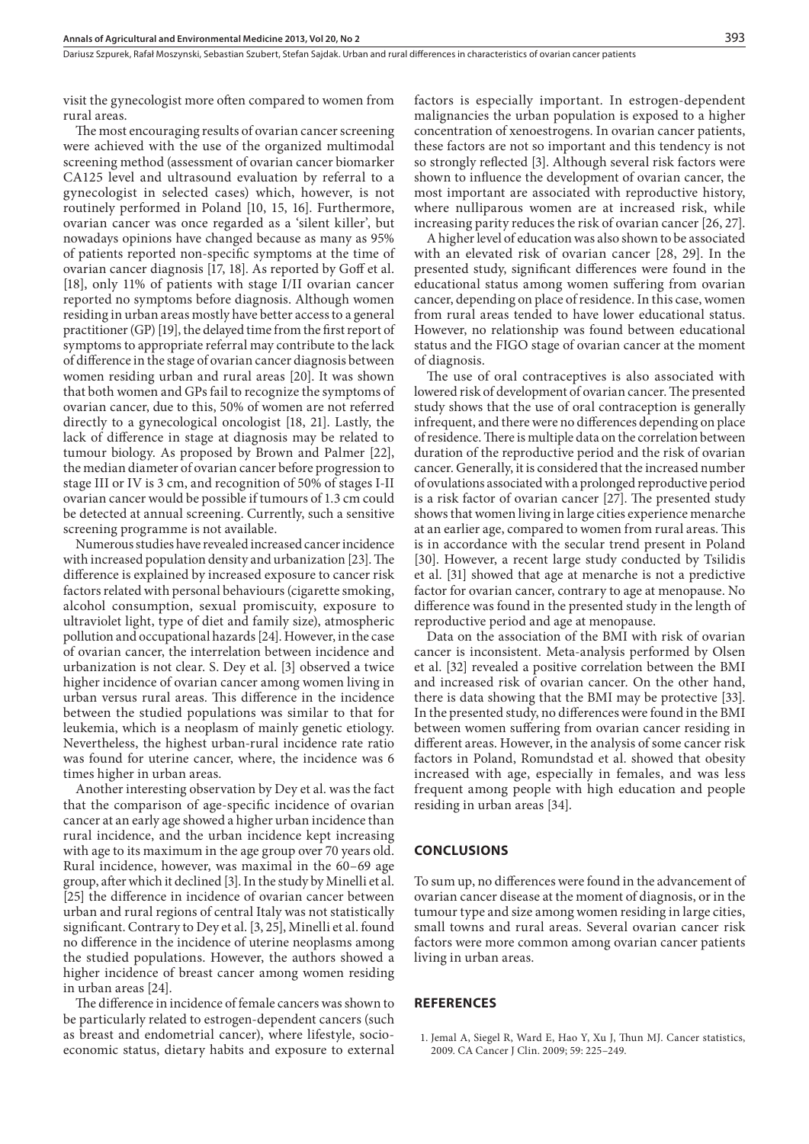visit the gynecologist more often compared to women from rural areas.

The most encouraging results of ovarian cancer screening were achieved with the use of the organized multimodal screening method (assessment of ovarian cancer biomarker CA125 level and ultrasound evaluation by referral to a gynecologist in selected cases) which, however, is not routinely performed in Poland [10, 15, 16]. Furthermore, ovarian cancer was once regarded as a 'silent killer', but nowadays opinions have changed because as many as 95% of patients reported non-specific symptoms at the time of ovarian cancer diagnosis [17, 18]. As reported by Goff et al. [18], only 11% of patients with stage I/II ovarian cancer reported no symptoms before diagnosis. Although women residing in urban areas mostly have better access to a general practitioner (GP) [19], the delayed time from the first report of symptoms to appropriate referral may contribute to the lack of difference in the stage of ovarian cancer diagnosis between women residing urban and rural areas [20]. It was shown that both women and GPs fail to recognize the symptoms of ovarian cancer, due to this, 50% of women are not referred directly to a gynecological oncologist [18, 21]. Lastly, the lack of difference in stage at diagnosis may be related to tumour biology. As proposed by Brown and Palmer [22], the median diameter of ovarian cancer before progression to stage III or IV is 3 cm, and recognition of 50% of stages I-II ovarian cancer would be possible if tumours of 1.3 cm could be detected at annual screening. Currently, such a sensitive screening programme is not available.

Numerous studies have revealed increased cancer incidence with increased population density and urbanization [23]. The difference is explained by increased exposure to cancer risk factors related with personal behaviours (cigarette smoking, alcohol consumption, sexual promiscuity, exposure to ultraviolet light, type of diet and family size), atmospheric pollution and occupational hazards [24]. However, in the case of ovarian cancer, the interrelation between incidence and urbanization is not clear. S. Dey et al. [3] observed a twice higher incidence of ovarian cancer among women living in urban versus rural areas. This difference in the incidence between the studied populations was similar to that for leukemia, which is a neoplasm of mainly genetic etiology. Nevertheless, the highest urban-rural incidence rate ratio was found for uterine cancer, where, the incidence was 6 times higher in urban areas.

Another interesting observation by Dey et al. was the fact that the comparison of age-specific incidence of ovarian cancer at an early age showed a higher urban incidence than rural incidence, and the urban incidence kept increasing with age to its maximum in the age group over 70 years old. Rural incidence, however, was maximal in the 60–69 age group, after which it declined [3]. In the study by Minelli et al. [25] the difference in incidence of ovarian cancer between urban and rural regions of central Italy was not statistically significant. Contrary to Dey et al. [3, 25], Minelli et al. found no difference in the incidence of uterine neoplasms among the studied populations. However, the authors showed a higher incidence of breast cancer among women residing in urban areas [24].

The difference in incidence of female cancers was shown to be particularly related to estrogen-dependent cancers (such as breast and endometrial cancer), where lifestyle, socioeconomic status, dietary habits and exposure to external

factors is especially important. In estrogen-dependent malignancies the urban population is exposed to a higher concentration of xenoestrogens. In ovarian cancer patients, these factors are not so important and this tendency is not so strongly reflected [3]. Although several risk factors were shown to influence the development of ovarian cancer, the most important are associated with reproductive history, where nulliparous women are at increased risk, while increasing parity reduces the risk of ovarian cancer [26, 27].

A higher level of education was also shown to be associated with an elevated risk of ovarian cancer [28, 29]. In the presented study, significant differences were found in the educational status among women suffering from ovarian cancer, depending on place of residence. In this case, women from rural areas tended to have lower educational status. However, no relationship was found between educational status and the FIGO stage of ovarian cancer at the moment of diagnosis.

The use of oral contraceptives is also associated with lowered risk of development of ovarian cancer. The presented study shows that the use of oral contraception is generally infrequent, and there were no differences depending on place of residence. There is multiple data on the correlation between duration of the reproductive period and the risk of ovarian cancer. Generally, it is considered that the increased number of ovulations associated with a prolonged reproductive period is a risk factor of ovarian cancer [27]. The presented study shows that women living in large cities experience menarche at an earlier age, compared to women from rural areas. This is in accordance with the secular trend present in Poland [30]. However, a recent large study conducted by Tsilidis et al. [31] showed that age at menarche is not a predictive factor for ovarian cancer, contrary to age at menopause. No difference was found in the presented study in the length of reproductive period and age at menopause.

Data on the association of the BMI with risk of ovarian cancer is inconsistent. Meta-analysis performed by Olsen et al. [32] revealed a positive correlation between the BMI and increased risk of ovarian cancer. On the other hand, there is data showing that the BMI may be protective [33]. In the presented study, no differences were found in the BMI between women suffering from ovarian cancer residing in different areas. However, in the analysis of some cancer risk factors in Poland, Romundstad et al. showed that obesity increased with age, especially in females, and was less frequent among people with high education and people residing in urban areas [34].

#### **CONCLUSIONS**

To sum up, no differences were found in the advancement of ovarian cancer disease at the moment of diagnosis, or in the tumour type and size among women residing in large cities, small towns and rural areas. Several ovarian cancer risk factors were more common among ovarian cancer patients living in urban areas.

#### **REFERENCES**

1. Jemal A, Siegel R, Ward E, Hao Y, Xu J, Thun MJ. Cancer statistics, 2009. CA Cancer J Clin. 2009; 59: 225–249.